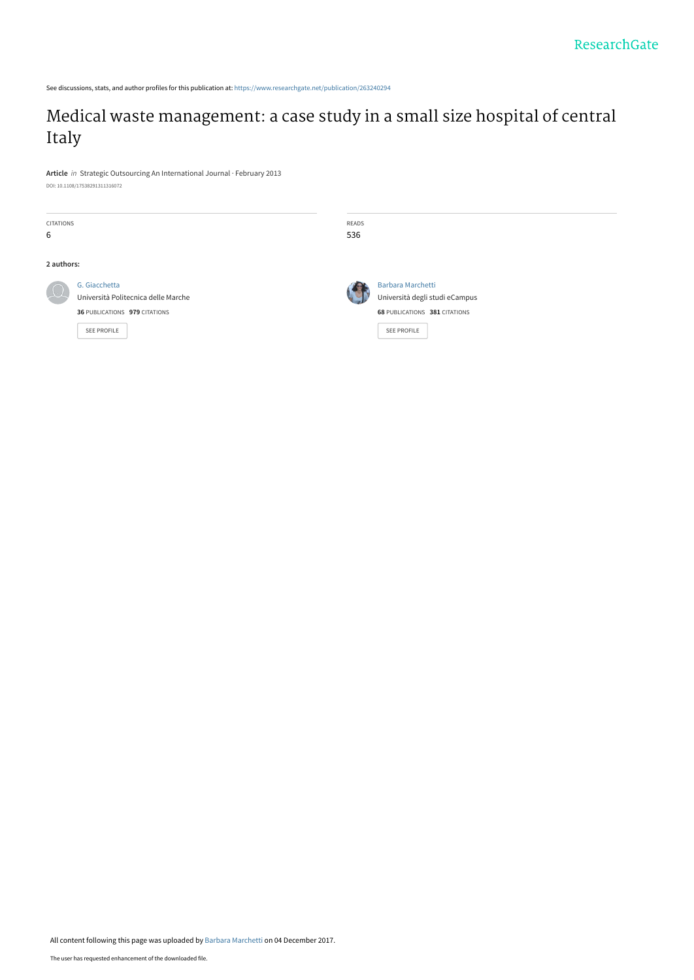See discussions, stats, and author profiles for this publication at: [https://www.researchgate.net/publication/263240294](https://www.researchgate.net/publication/263240294_Medical_waste_management_a_case_study_in_a_small_size_hospital_of_central_Italy?enrichId=rgreq-207814400c9a3458061dfe512387df01-XXX&enrichSource=Y292ZXJQYWdlOzI2MzI0MDI5NDtBUzo1Njc4NDk4Mzg0MTU4NzJAMTUxMjM5NzM1OTQ5Mg%3D%3D&el=1_x_2&_esc=publicationCoverPdf)

# [Medical waste management: a case study in a small size hospital of central](https://www.researchgate.net/publication/263240294_Medical_waste_management_a_case_study_in_a_small_size_hospital_of_central_Italy?enrichId=rgreq-207814400c9a3458061dfe512387df01-XXX&enrichSource=Y292ZXJQYWdlOzI2MzI0MDI5NDtBUzo1Njc4NDk4Mzg0MTU4NzJAMTUxMjM5NzM1OTQ5Mg%3D%3D&el=1_x_3&_esc=publicationCoverPdf) Italy

**Article** in Strategic Outsourcing An International Journal · February 2013 DOI: 10.1108/17538291311316072

| <b>CITATIONS</b><br>6 |                                                                                                             | READS<br>536 |                                                                                                            |
|-----------------------|-------------------------------------------------------------------------------------------------------------|--------------|------------------------------------------------------------------------------------------------------------|
| 2 authors:            |                                                                                                             |              |                                                                                                            |
|                       | G. Giacchetta<br>Università Politecnica delle Marche<br>36 PUBLICATIONS 979 CITATIONS<br><b>SEE PROFILE</b> |              | <b>Barbara Marchetti</b><br>Università degli studi eCampus<br>68 PUBLICATIONS 381 CITATIONS<br>SEE PROFILE |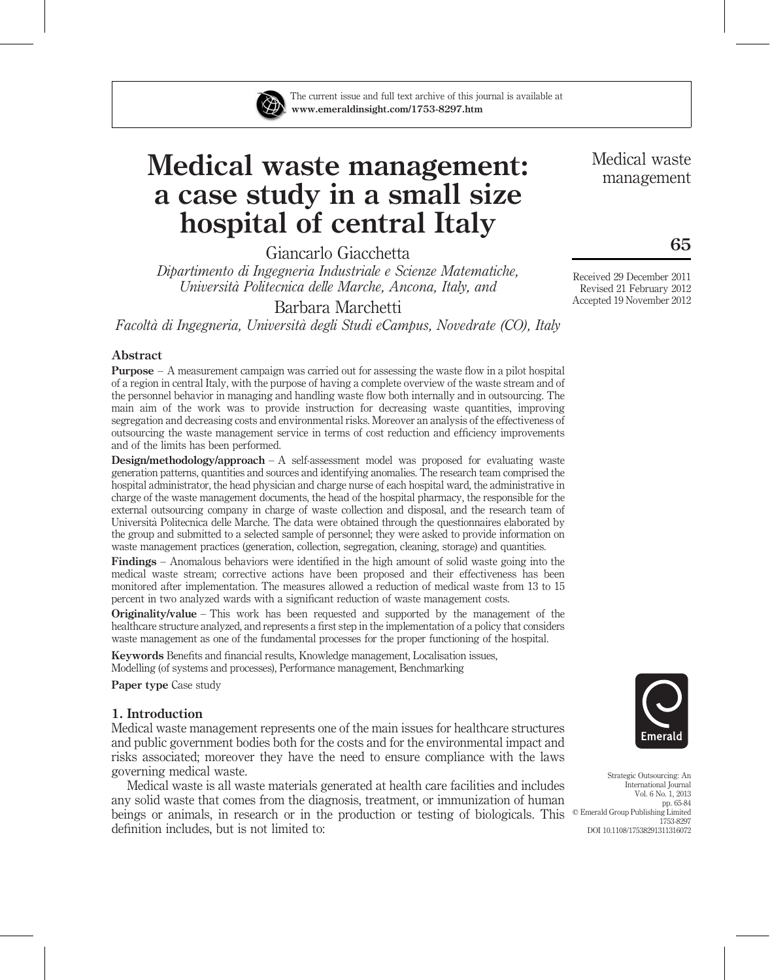

The current issue and full text archive of this journal is available at www.emeraldinsight.com/1753-8297.htm

# Medical waste management: a case study in a small size hospital of central Italy

Giancarlo Giacchetta

Dipartimento di Ingegneria Industriale e Scienze Matematiche, Universita` Politecnica delle Marche, Ancona, Italy, and

Barbara Marchetti

Facolta` di Ingegneria, Universita` degli Studi eCampus, Novedrate (CO), Italy

# Abstract

Purpose – A measurement campaign was carried out for assessing the waste flow in a pilot hospital of a region in central Italy, with the purpose of having a complete overview of the waste stream and of the personnel behavior in managing and handling waste flow both internally and in outsourcing. The main aim of the work was to provide instruction for decreasing waste quantities, improving segregation and decreasing costs and environmental risks. Moreover an analysis of the effectiveness of outsourcing the waste management service in terms of cost reduction and efficiency improvements and of the limits has been performed.

**Design/methodology/approach** – A self-assessment model was proposed for evaluating waste generation patterns, quantities and sources and identifying anomalies. The research team comprised the hospital administrator, the head physician and charge nurse of each hospital ward, the administrative in charge of the waste management documents, the head of the hospital pharmacy, the responsible for the external outsourcing company in charge of waste collection and disposal, and the research team of Universita` Politecnica delle Marche. The data were obtained through the questionnaires elaborated by the group and submitted to a selected sample of personnel; they were asked to provide information on waste management practices (generation, collection, segregation, cleaning, storage) and quantities.

Findings – Anomalous behaviors were identified in the high amount of solid waste going into the medical waste stream; corrective actions have been proposed and their effectiveness has been monitored after implementation. The measures allowed a reduction of medical waste from 13 to 15 percent in two analyzed wards with a significant reduction of waste management costs.

Originality/value – This work has been requested and supported by the management of the healthcare structure analyzed, and represents a first step in the implementation of a policy that considers waste management as one of the fundamental processes for the proper functioning of the hospital.

Keywords Benefits and financial results, Knowledge management, Localisation issues, Modelling (of systems and processes), Performance management, Benchmarking

Paper type Case study

# 1. Introduction

Medical waste management represents one of the main issues for healthcare structures and public government bodies both for the costs and for the environmental impact and risks associated; moreover they have the need to ensure compliance with the laws governing medical waste.

Medical waste is all waste materials generated at health care facilities and includes any solid waste that comes from the diagnosis, treatment, or immunization of human beings or animals, in research or in the production or testing of biologicals. This definition includes, but is not limited to:

Medical waste management

65

Received 29 December 2011 Revised 21 February 2012 Accepted 19 November 2012



Strategic Outsourcing: An International Journal Vol. 6 No. 1, 2013 pp. 65-84  $©$  Emerald Group Publishing Limited 1753-8297 DOI 10.1108/17538291311316072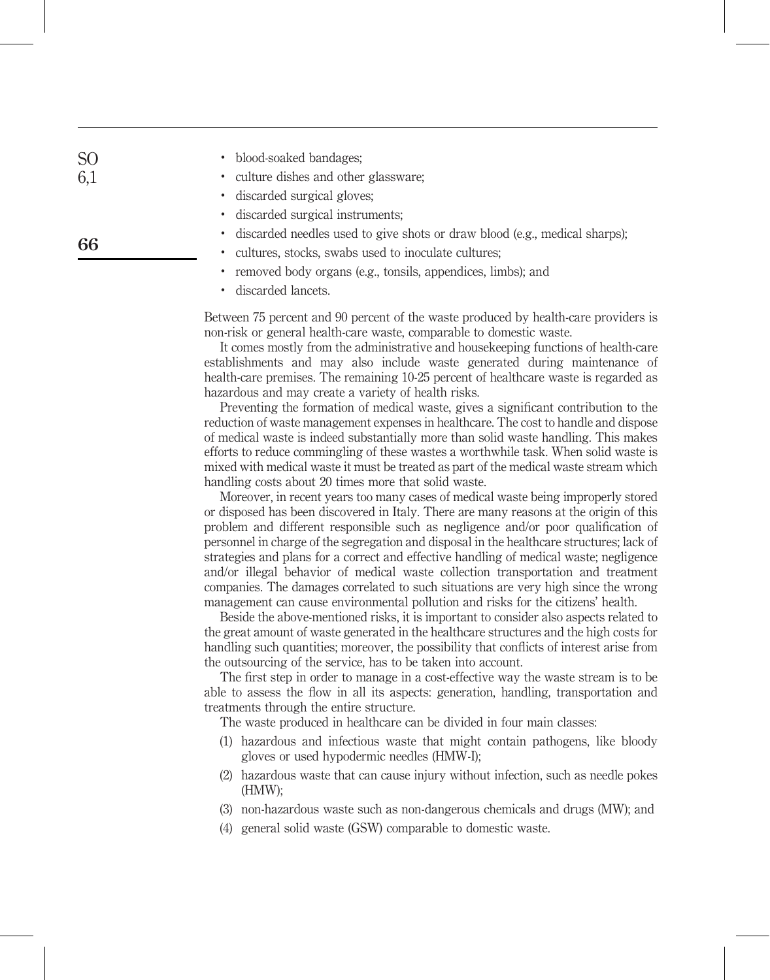| S <sub>O</sub> | • blood-soaked bandages;              |
|----------------|---------------------------------------|
| 6,1            | • culture dishes and other glassware; |
|                | • discarded surgical gloves;          |

66

- . discarded surgical instruments;
- . discarded needles used to give shots or draw blood (e.g., medical sharps);
- . cultures, stocks, swabs used to inoculate cultures;
- . removed body organs (e.g., tonsils, appendices, limbs); and
- . discarded lancets.

Between 75 percent and 90 percent of the waste produced by health-care providers is non-risk or general health-care waste, comparable to domestic waste.

It comes mostly from the administrative and housekeeping functions of health-care establishments and may also include waste generated during maintenance of health-care premises. The remaining 10-25 percent of healthcare waste is regarded as hazardous and may create a variety of health risks.

Preventing the formation of medical waste, gives a significant contribution to the reduction of waste management expenses in healthcare. The cost to handle and dispose of medical waste is indeed substantially more than solid waste handling. This makes efforts to reduce commingling of these wastes a worthwhile task. When solid waste is mixed with medical waste it must be treated as part of the medical waste stream which handling costs about 20 times more that solid waste.

Moreover, in recent years too many cases of medical waste being improperly stored or disposed has been discovered in Italy. There are many reasons at the origin of this problem and different responsible such as negligence and/or poor qualification of personnel in charge of the segregation and disposal in the healthcare structures; lack of strategies and plans for a correct and effective handling of medical waste; negligence and/or illegal behavior of medical waste collection transportation and treatment companies. The damages correlated to such situations are very high since the wrong management can cause environmental pollution and risks for the citizens' health.

Beside the above-mentioned risks, it is important to consider also aspects related to the great amount of waste generated in the healthcare structures and the high costs for handling such quantities; moreover, the possibility that conflicts of interest arise from the outsourcing of the service, has to be taken into account.

The first step in order to manage in a cost-effective way the waste stream is to be able to assess the flow in all its aspects: generation, handling, transportation and treatments through the entire structure.

The waste produced in healthcare can be divided in four main classes:

- (1) hazardous and infectious waste that might contain pathogens, like bloody gloves or used hypodermic needles (HMW-I);
- (2) hazardous waste that can cause injury without infection, such as needle pokes (HMW);
- (3) non-hazardous waste such as non-dangerous chemicals and drugs (MW); and
- (4) general solid waste (GSW) comparable to domestic waste.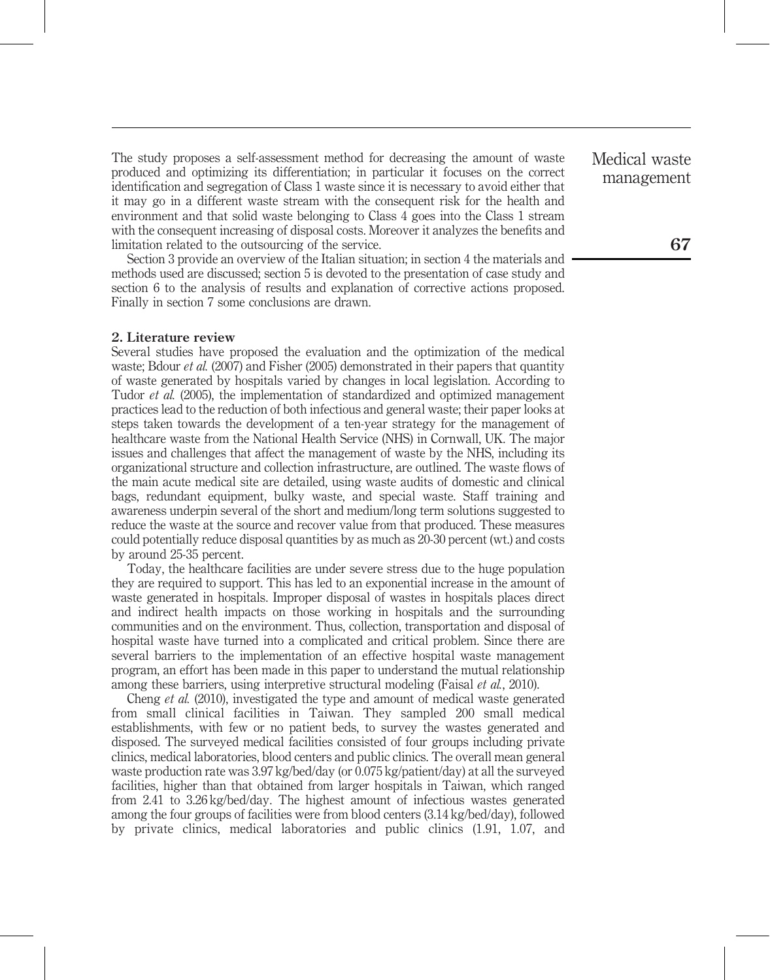The study proposes a self-assessment method for decreasing the amount of waste produced and optimizing its differentiation; in particular it focuses on the correct identification and segregation of Class 1 waste since it is necessary to avoid either that it may go in a different waste stream with the consequent risk for the health and environment and that solid waste belonging to Class 4 goes into the Class 1 stream with the consequent increasing of disposal costs. Moreover it analyzes the benefits and limitation related to the outsourcing of the service.

Section 3 provide an overview of the Italian situation; in section 4 the materials and methods used are discussed; section 5 is devoted to the presentation of case study and section 6 to the analysis of results and explanation of corrective actions proposed. Finally in section 7 some conclusions are drawn.

#### 2. Literature review

Several studies have proposed the evaluation and the optimization of the medical waste; Bdour *et al.* (2007) and Fisher (2005) demonstrated in their papers that quantity of waste generated by hospitals varied by changes in local legislation. According to Tudor et al. (2005), the implementation of standardized and optimized management practices lead to the reduction of both infectious and general waste; their paper looks at steps taken towards the development of a ten-year strategy for the management of healthcare waste from the National Health Service (NHS) in Cornwall, UK. The major issues and challenges that affect the management of waste by the NHS, including its organizational structure and collection infrastructure, are outlined. The waste flows of the main acute medical site are detailed, using waste audits of domestic and clinical bags, redundant equipment, bulky waste, and special waste. Staff training and awareness underpin several of the short and medium/long term solutions suggested to reduce the waste at the source and recover value from that produced. These measures could potentially reduce disposal quantities by as much as 20-30 percent (wt.) and costs by around 25-35 percent.

Today, the healthcare facilities are under severe stress due to the huge population they are required to support. This has led to an exponential increase in the amount of waste generated in hospitals. Improper disposal of wastes in hospitals places direct and indirect health impacts on those working in hospitals and the surrounding communities and on the environment. Thus, collection, transportation and disposal of hospital waste have turned into a complicated and critical problem. Since there are several barriers to the implementation of an effective hospital waste management program, an effort has been made in this paper to understand the mutual relationship among these barriers, using interpretive structural modeling (Faisal et al., 2010).

Cheng et al. (2010), investigated the type and amount of medical waste generated from small clinical facilities in Taiwan. They sampled 200 small medical establishments, with few or no patient beds, to survey the wastes generated and disposed. The surveyed medical facilities consisted of four groups including private clinics, medical laboratories, blood centers and public clinics. The overall mean general waste production rate was 3.97 kg/bed/day (or 0.075 kg/patient/day) at all the surveyed facilities, higher than that obtained from larger hospitals in Taiwan, which ranged from 2.41 to 3.26 kg/bed/day. The highest amount of infectious wastes generated among the four groups of facilities were from blood centers (3.14 kg/bed/day), followed by private clinics, medical laboratories and public clinics (1.91, 1.07, and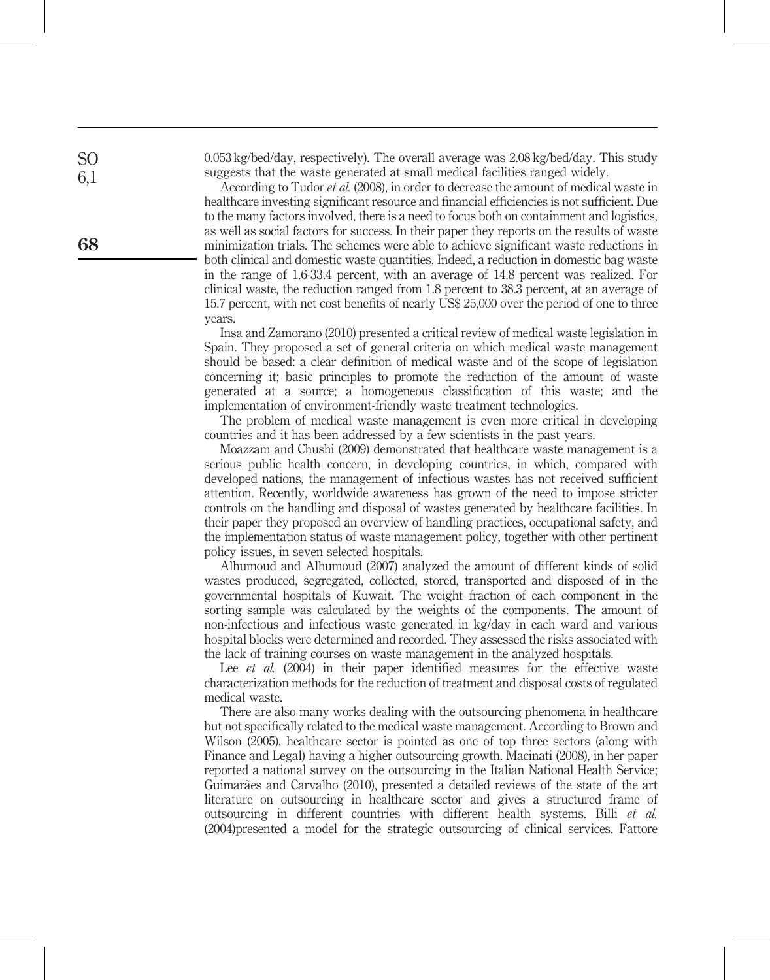0.053 kg/bed/day, respectively). The overall average was 2.08 kg/bed/day. This study suggests that the waste generated at small medical facilities ranged widely.

According to Tudor et al. (2008), in order to decrease the amount of medical waste in healthcare investing significant resource and financial efficiencies is not sufficient. Due to the many factors involved, there is a need to focus both on containment and logistics, as well as social factors for success. In their paper they reports on the results of waste minimization trials. The schemes were able to achieve significant waste reductions in both clinical and domestic waste quantities. Indeed, a reduction in domestic bag waste in the range of 1.6-33.4 percent, with an average of 14.8 percent was realized. For clinical waste, the reduction ranged from 1.8 percent to 38.3 percent, at an average of 15.7 percent, with net cost benefits of nearly US\$ 25,000 over the period of one to three years.

Insa and Zamorano (2010) presented a critical review of medical waste legislation in Spain. They proposed a set of general criteria on which medical waste management should be based: a clear definition of medical waste and of the scope of legislation concerning it; basic principles to promote the reduction of the amount of waste generated at a source; a homogeneous classification of this waste; and the implementation of environment-friendly waste treatment technologies.

The problem of medical waste management is even more critical in developing countries and it has been addressed by a few scientists in the past years.

Moazzam and Chushi (2009) demonstrated that healthcare waste management is a serious public health concern, in developing countries, in which, compared with developed nations, the management of infectious wastes has not received sufficient attention. Recently, worldwide awareness has grown of the need to impose stricter controls on the handling and disposal of wastes generated by healthcare facilities. In their paper they proposed an overview of handling practices, occupational safety, and the implementation status of waste management policy, together with other pertinent policy issues, in seven selected hospitals.

Alhumoud and Alhumoud (2007) analyzed the amount of different kinds of solid wastes produced, segregated, collected, stored, transported and disposed of in the governmental hospitals of Kuwait. The weight fraction of each component in the sorting sample was calculated by the weights of the components. The amount of non-infectious and infectious waste generated in kg/day in each ward and various hospital blocks were determined and recorded. They assessed the risks associated with the lack of training courses on waste management in the analyzed hospitals.

Lee *et al.* (2004) in their paper identified measures for the effective waste characterization methods for the reduction of treatment and disposal costs of regulated medical waste.

There are also many works dealing with the outsourcing phenomena in healthcare but not specifically related to the medical waste management. According to Brown and Wilson (2005), healthcare sector is pointed as one of top three sectors (along with Finance and Legal) having a higher outsourcing growth. Macinati (2008), in her paper reported a national survey on the outsourcing in the Italian National Health Service; Guimarães and Carvalho (2010), presented a detailed reviews of the state of the art literature on outsourcing in healthcare sector and gives a structured frame of outsourcing in different countries with different health systems. Billi et al. (2004)presented a model for the strategic outsourcing of clinical services. Fattore

68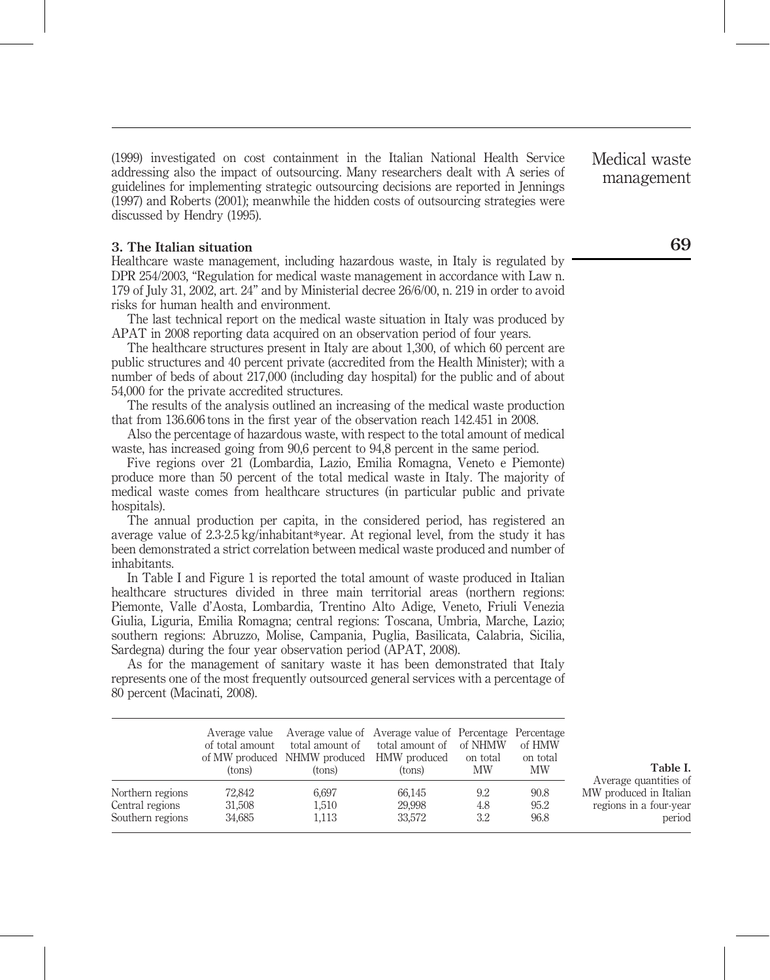(1999) investigated on cost containment in the Italian National Health Service addressing also the impact of outsourcing. Many researchers dealt with A series of guidelines for implementing strategic outsourcing decisions are reported in Jennings (1997) and Roberts (2001); meanwhile the hidden costs of outsourcing strategies were discussed by Hendry (1995).

#### 3. The Italian situation

Healthcare waste management, including hazardous waste, in Italy is regulated by DPR 254/2003, "Regulation for medical waste management in accordance with Law n. 179 of July 31, 2002, art. 24" and by Ministerial decree 26/6/00, n. 219 in order to avoid risks for human health and environment.

The last technical report on the medical waste situation in Italy was produced by APAT in 2008 reporting data acquired on an observation period of four years.

The healthcare structures present in Italy are about 1,300, of which 60 percent are public structures and 40 percent private (accredited from the Health Minister); with a number of beds of about 217,000 (including day hospital) for the public and of about 54,000 for the private accredited structures.

The results of the analysis outlined an increasing of the medical waste production that from 136.606 tons in the first year of the observation reach 142.451 in 2008.

Also the percentage of hazardous waste, with respect to the total amount of medical waste, has increased going from 90,6 percent to 94,8 percent in the same period.

Five regions over 21 (Lombardia, Lazio, Emilia Romagna, Veneto e Piemonte) produce more than 50 percent of the total medical waste in Italy. The majority of medical waste comes from healthcare structures (in particular public and private hospitals).

The annual production per capita, in the considered period, has registered an average value of 2.3-2.5 kg/inhabitant\*year. At regional level, from the study it has been demonstrated a strict correlation between medical waste produced and number of inhabitants.

In Table I and Figure 1 is reported the total amount of waste produced in Italian healthcare structures divided in three main territorial areas (northern regions: Piemonte, Valle d'Aosta, Lombardia, Trentino Alto Adige, Veneto, Friuli Venezia Giulia, Liguria, Emilia Romagna; central regions: Toscana, Umbria, Marche, Lazio; southern regions: Abruzzo, Molise, Campania, Puglia, Basilicata, Calabria, Sicilia, Sardegna) during the four year observation period (APAT, 2008).

As for the management of sanitary waste it has been demonstrated that Italy represents one of the most frequently outsourced general services with a percentage of 80 percent (Macinati, 2008).

|                                                         | of total amount<br>(tons)  | Average value Average value of Average value of Percentage Percentage<br>total amount of<br>of MW produced NHMW produced HMW produced<br>(tons) | total amount of of NHMW<br>(tons) | on total<br>MW    | of HMW<br>on total<br><b>MW</b> | Table I.                                                                            |
|---------------------------------------------------------|----------------------------|-------------------------------------------------------------------------------------------------------------------------------------------------|-----------------------------------|-------------------|---------------------------------|-------------------------------------------------------------------------------------|
| Northern regions<br>Central regions<br>Southern regions | 72.842<br>31,508<br>34,685 | 6.697<br>1,510<br>1,113                                                                                                                         | 66.145<br>29.998<br>33,572        | 9.2<br>4.8<br>3.2 | 90.8<br>95.2<br>96.8            | Average quantities of<br>MW produced in Italian<br>regions in a four-year<br>period |

Medical waste management

69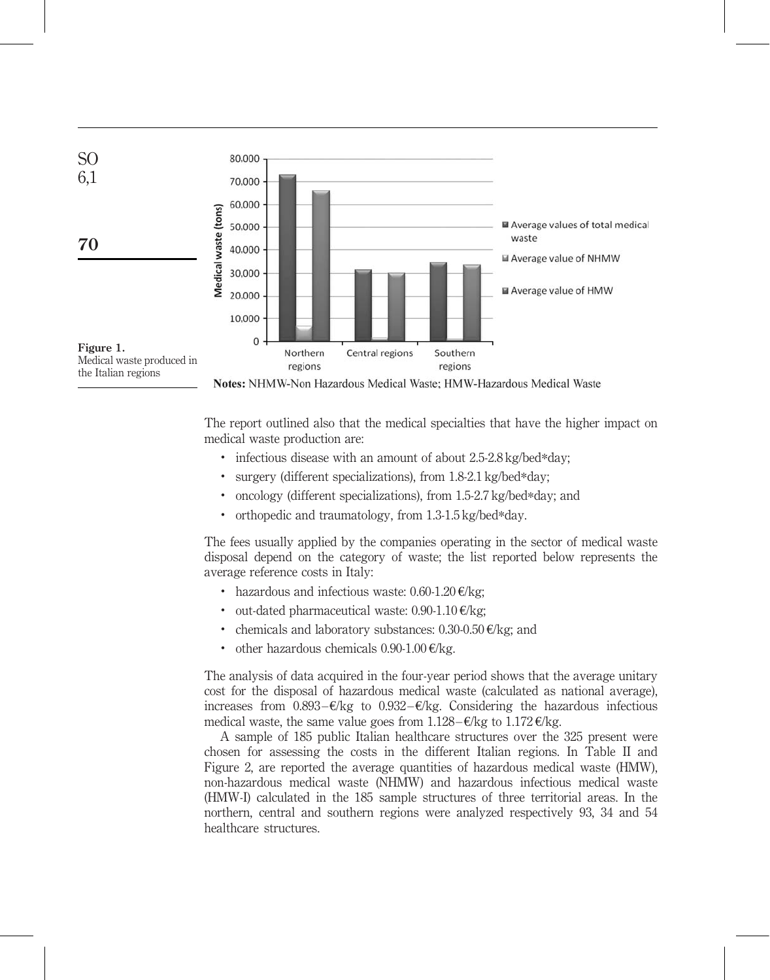

The report outlined also that the medical specialties that have the higher impact on medical waste production are:

- . infectious disease with an amount of about 2.5-2.8 kg/bed\*day;
- . surgery (different specializations), from 1.8-2.1 kg/bed\*day;
- . oncology (different specializations), from 1.5-2.7 kg/bed\*day; and
- . orthopedic and traumatology, from 1.3-1.5 kg/bed\*day.

The fees usually applied by the companies operating in the sector of medical waste disposal depend on the category of waste; the list reported below represents the average reference costs in Italy:

- hazardous and infectious waste:  $0.60 1.20$   $\epsilon$ /kg;
- out-dated pharmaceutical waste:  $0.90-1.10 \times k$ g;
- chemicals and laboratory substances:  $0.30{\text{-}}0.50 \text{ E/kg}$ ; and
- other hazardous chemicals  $0.90-1.00$  €/kg.

The analysis of data acquired in the four-year period shows that the average unitary cost for the disposal of hazardous medical waste (calculated as national average), increases from  $0.893 - \epsilon/kg$  to  $0.932 - \epsilon/kg$ . Considering the hazardous infectious medical waste, the same value goes from  $1.128 - \epsilon/kg$  to  $1.172 \epsilon/kg$ .

A sample of 185 public Italian healthcare structures over the 325 present were chosen for assessing the costs in the different Italian regions. In Table II and Figure 2, are reported the average quantities of hazardous medical waste (HMW), non-hazardous medical waste (NHMW) and hazardous infectious medical waste (HMW-I) calculated in the 185 sample structures of three territorial areas. In the northern, central and southern regions were analyzed respectively 93, 34 and 54 healthcare structures.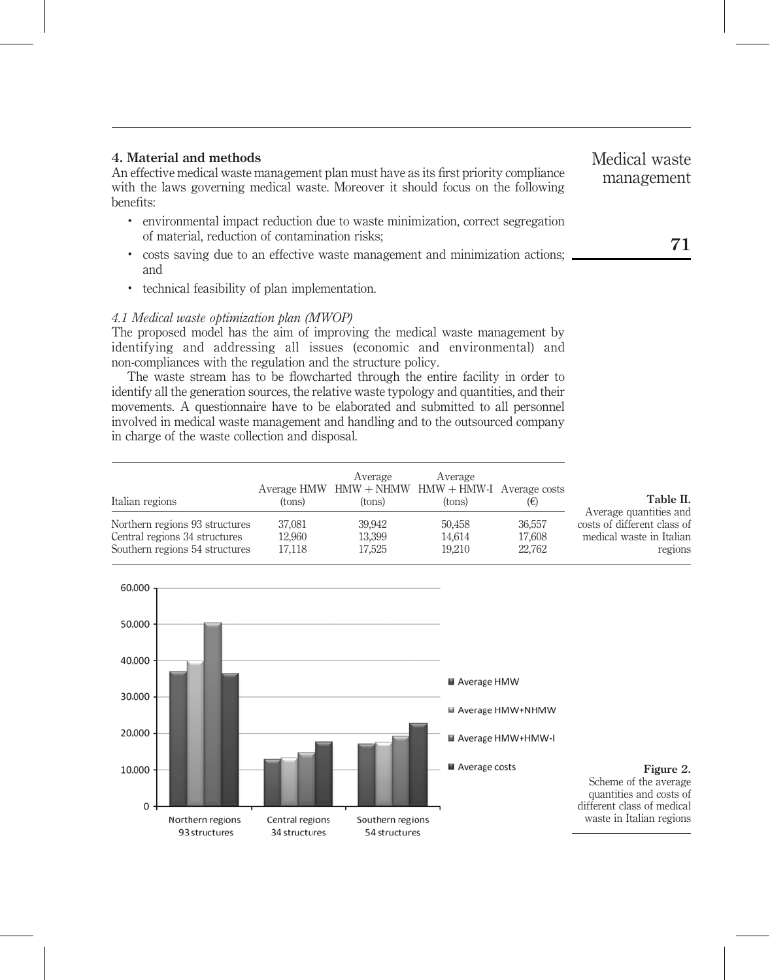# 4. Material and methods

An effective medical waste management plan must have as its first priority compliance with the laws governing medical waste. Moreover it should focus on the following benefits:

- . environmental impact reduction due to waste minimization, correct segregation of material, reduction of contamination risks;
- . costs saving due to an effective waste management and minimization actions; and
- . technical feasibility of plan implementation.

# 4.1 Medical waste optimization plan (MWOP)

The proposed model has the aim of improving the medical waste management by identifying and addressing all issues (economic and environmental) and non-compliances with the regulation and the structure policy.

The waste stream has to be flowcharted through the entire facility in order to identify all the generation sources, the relative waste typology and quantities, and their movements. A questionnaire have to be elaborated and submitted to all personnel involved in medical waste management and handling and to the outsourced company in charge of the waste collection and disposal.

| Italian regions                | (tons) | Average<br>(tons) | Average<br>Average HMW $HMW + NHMW$ HMW $+ HMW-I$ Average costs<br>(tons) | (€)    | Table II.<br>Average quantities and |
|--------------------------------|--------|-------------------|---------------------------------------------------------------------------|--------|-------------------------------------|
| Northern regions 93 structures | 37,081 | 39.942            | 50.458                                                                    | 36,557 | costs of different class of         |
| Central regions 34 structures  | 12.960 | 13,399            | 14.614                                                                    | 17.608 | medical waste in Italian            |
| Southern regions 54 structures | 17.118 | 17,525            | 19.210                                                                    | 22,762 | regions                             |

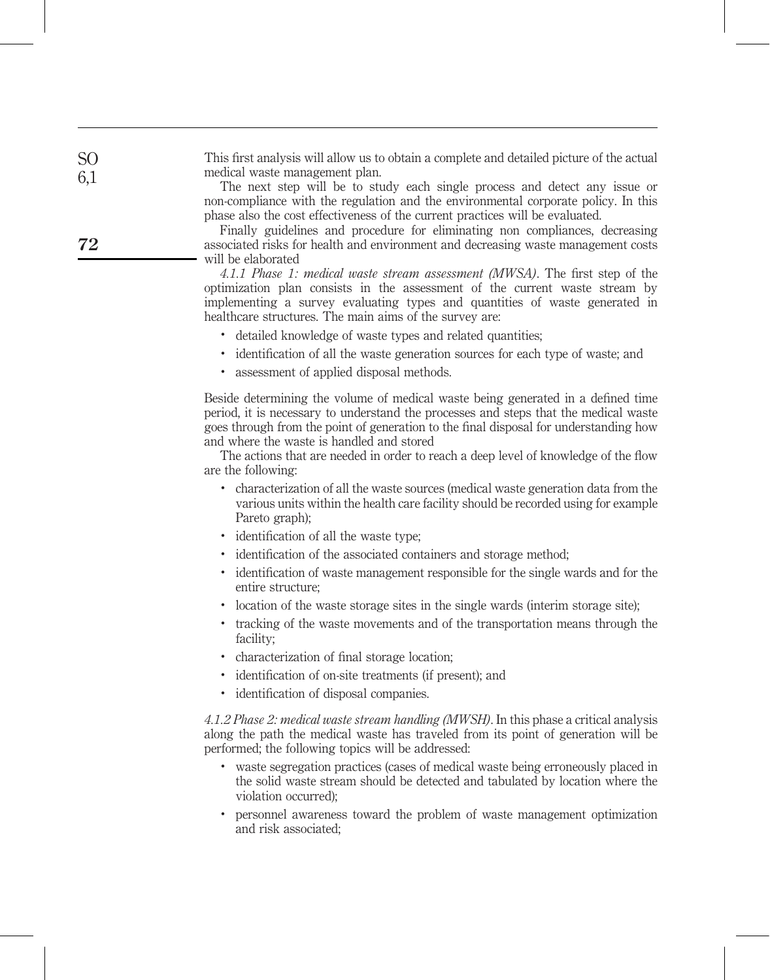This first analysis will allow us to obtain a complete and detailed picture of the actual medical waste management plan.

The next step will be to study each single process and detect any issue or non-compliance with the regulation and the environmental corporate policy. In this phase also the cost effectiveness of the current practices will be evaluated.

Finally guidelines and procedure for eliminating non compliances, decreasing associated risks for health and environment and decreasing waste management costs will be elaborated

4.1.1 Phase 1: medical waste stream assessment (MWSA). The first step of the optimization plan consists in the assessment of the current waste stream by implementing a survey evaluating types and quantities of waste generated in healthcare structures. The main aims of the survey are:

- . detailed knowledge of waste types and related quantities;
- . identification of all the waste generation sources for each type of waste; and
- . assessment of applied disposal methods.

Beside determining the volume of medical waste being generated in a defined time period, it is necessary to understand the processes and steps that the medical waste goes through from the point of generation to the final disposal for understanding how and where the waste is handled and stored

The actions that are needed in order to reach a deep level of knowledge of the flow are the following:

- . characterization of all the waste sources (medical waste generation data from the various units within the health care facility should be recorded using for example Pareto graph);
- . identification of all the waste type;
- . identification of the associated containers and storage method;
- . identification of waste management responsible for the single wards and for the entire structure;
- . location of the waste storage sites in the single wards (interim storage site);
- . tracking of the waste movements and of the transportation means through the facility;
- . characterization of final storage location;
- . identification of on-site treatments (if present); and
- . identification of disposal companies.

4.1.2 Phase 2: medical waste stream handling (MWSH). In this phase a critical analysis along the path the medical waste has traveled from its point of generation will be performed; the following topics will be addressed:

- . waste segregation practices (cases of medical waste being erroneously placed in the solid waste stream should be detected and tabulated by location where the violation occurred);
- . personnel awareness toward the problem of waste management optimization and risk associated;

72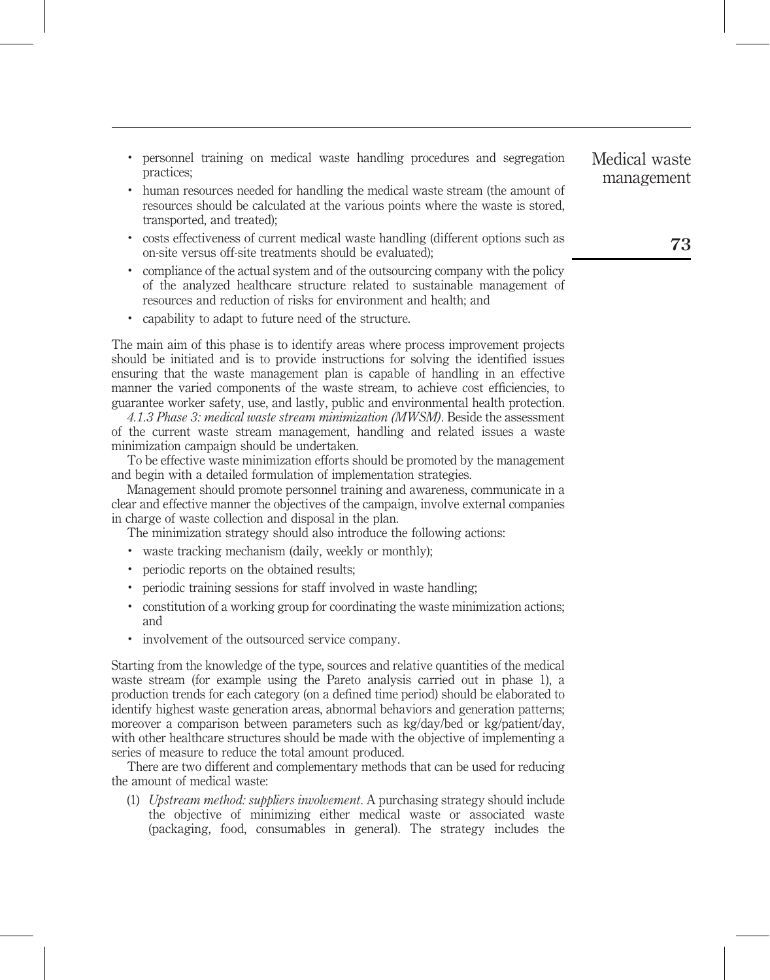- . personnel training on medical waste handling procedures and segregation practices;
- . human resources needed for handling the medical waste stream (the amount of resources should be calculated at the various points where the waste is stored, transported, and treated);
- . costs effectiveness of current medical waste handling (different options such as on-site versus off-site treatments should be evaluated);
- . compliance of the actual system and of the outsourcing company with the policy of the analyzed healthcare structure related to sustainable management of resources and reduction of risks for environment and health; and
- . capability to adapt to future need of the structure.

The main aim of this phase is to identify areas where process improvement projects should be initiated and is to provide instructions for solving the identified issues ensuring that the waste management plan is capable of handling in an effective manner the varied components of the waste stream, to achieve cost efficiencies, to guarantee worker safety, use, and lastly, public and environmental health protection.

4.1.3 Phase 3: medical waste stream minimization (MWSM). Beside the assessment of the current waste stream management, handling and related issues a waste minimization campaign should be undertaken.

To be effective waste minimization efforts should be promoted by the management and begin with a detailed formulation of implementation strategies.

Management should promote personnel training and awareness, communicate in a clear and effective manner the objectives of the campaign, involve external companies in charge of waste collection and disposal in the plan.

The minimization strategy should also introduce the following actions:

- . waste tracking mechanism (daily, weekly or monthly);
- . periodic reports on the obtained results;
- . periodic training sessions for staff involved in waste handling;
- . constitution of a working group for coordinating the waste minimization actions; and
- . involvement of the outsourced service company.

Starting from the knowledge of the type, sources and relative quantities of the medical waste stream (for example using the Pareto analysis carried out in phase 1), a production trends for each category (on a defined time period) should be elaborated to identify highest waste generation areas, abnormal behaviors and generation patterns; moreover a comparison between parameters such as kg/day/bed or kg/patient/day, with other healthcare structures should be made with the objective of implementing a series of measure to reduce the total amount produced.

There are two different and complementary methods that can be used for reducing the amount of medical waste:

(1) Upstream method: suppliers involvement. A purchasing strategy should include the objective of minimizing either medical waste or associated waste (packaging, food, consumables in general). The strategy includes the Medical waste management

73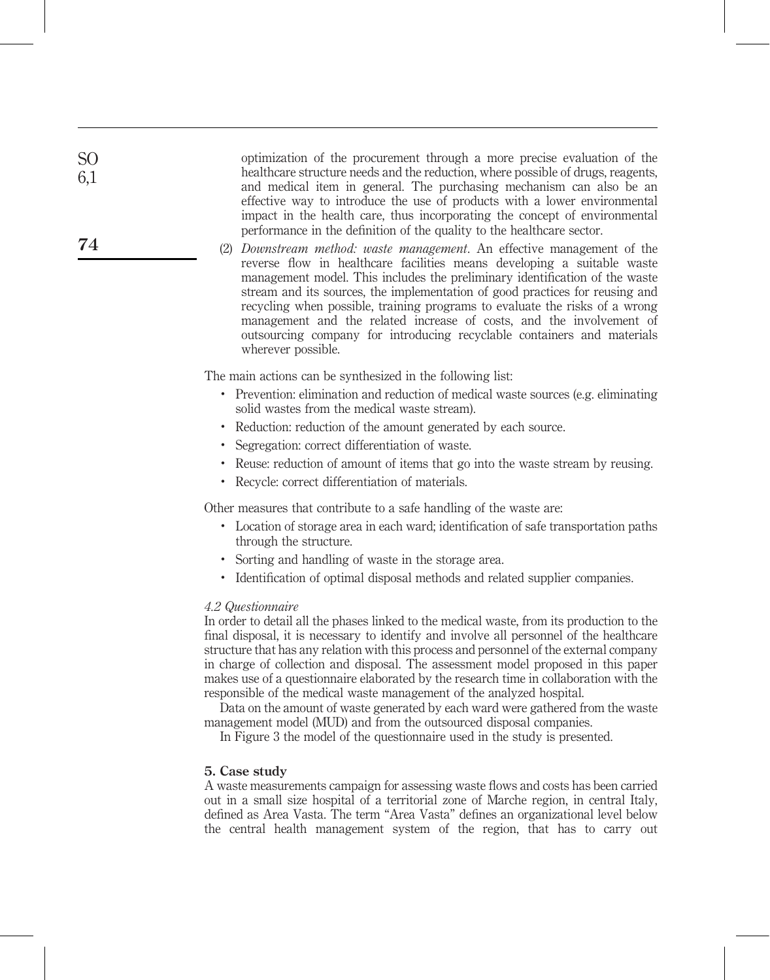optimization of the procurement through a more precise evaluation of the healthcare structure needs and the reduction, where possible of drugs, reagents, and medical item in general. The purchasing mechanism can also be an effective way to introduce the use of products with a lower environmental impact in the health care, thus incorporating the concept of environmental performance in the definition of the quality to the healthcare sector.

(2) Downstream method: waste management. An effective management of the reverse flow in healthcare facilities means developing a suitable waste management model. This includes the preliminary identification of the waste stream and its sources, the implementation of good practices for reusing and recycling when possible, training programs to evaluate the risks of a wrong management and the related increase of costs, and the involvement of outsourcing company for introducing recyclable containers and materials wherever possible.

The main actions can be synthesized in the following list:

- . Prevention: elimination and reduction of medical waste sources (e.g. eliminating solid wastes from the medical waste stream).
- . Reduction: reduction of the amount generated by each source.
- . Segregation: correct differentiation of waste.
- . Reuse: reduction of amount of items that go into the waste stream by reusing.
- . Recycle: correct differentiation of materials.

Other measures that contribute to a safe handling of the waste are:

- . Location of storage area in each ward; identification of safe transportation paths through the structure.
- . Sorting and handling of waste in the storage area.
- . Identification of optimal disposal methods and related supplier companies.

# 4.2 Questionnaire

In order to detail all the phases linked to the medical waste, from its production to the final disposal, it is necessary to identify and involve all personnel of the healthcare structure that has any relation with this process and personnel of the external company in charge of collection and disposal. The assessment model proposed in this paper makes use of a questionnaire elaborated by the research time in collaboration with the responsible of the medical waste management of the analyzed hospital.

Data on the amount of waste generated by each ward were gathered from the waste management model (MUD) and from the outsourced disposal companies.

In Figure 3 the model of the questionnaire used in the study is presented.

#### 5. Case study

A waste measurements campaign for assessing waste flows and costs has been carried out in a small size hospital of a territorial zone of Marche region, in central Italy, defined as Area Vasta. The term "Area Vasta" defines an organizational level below the central health management system of the region, that has to carry out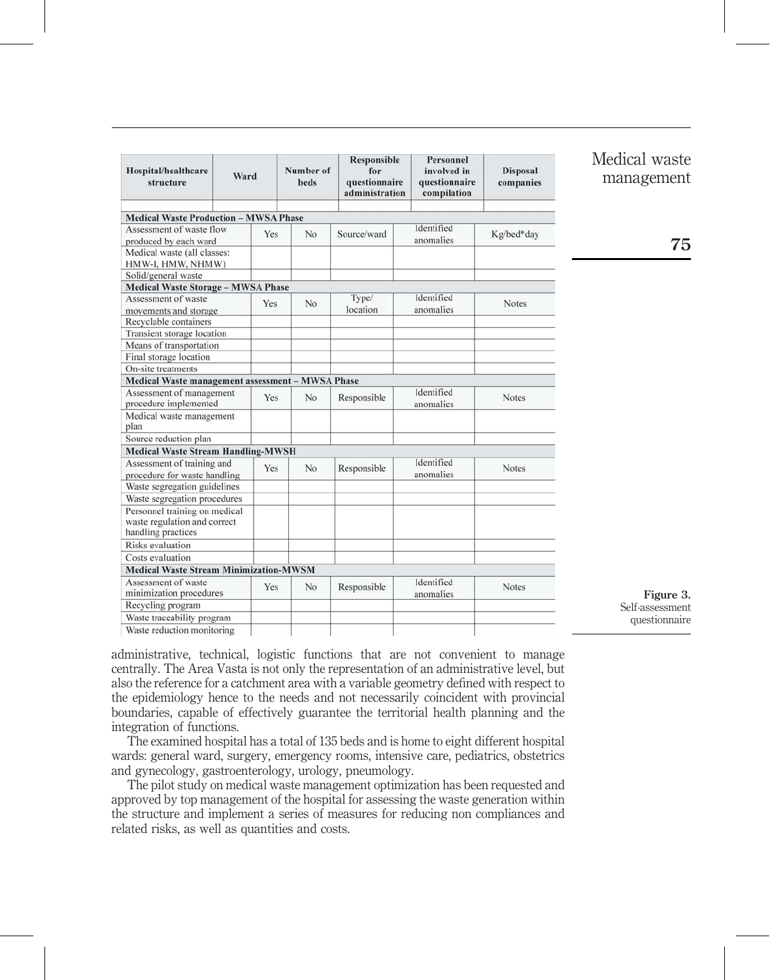| Hospital/healthcare<br>structure                 | Ward |     | Number of<br><b>beds</b> | <b>Responsible</b><br>for<br>questionnaire<br>administration | Personnel<br>involved in<br>questionnaire<br>compilation | <b>Disposal</b><br>companies |
|--------------------------------------------------|------|-----|--------------------------|--------------------------------------------------------------|----------------------------------------------------------|------------------------------|
| <b>Medical Waste Production - MWSA Phase</b>     |      |     |                          |                                                              |                                                          |                              |
| Assessment of waste flow                         |      | Yes | No                       | Source/ward                                                  | Identified                                               | Kg/bed*day                   |
| produced by each ward                            |      |     |                          |                                                              | anomalies                                                |                              |
| Medical waste (all classes:                      |      |     |                          |                                                              |                                                          |                              |
| HMW-I, HMW, NHMW)                                |      |     |                          |                                                              |                                                          |                              |
| Solid/general waste                              |      |     |                          |                                                              |                                                          |                              |
| <b>Medical Waste Storage - MWSA Phase</b>        |      |     |                          |                                                              |                                                          |                              |
| Assessment of waste                              |      | Yes | No                       | Type/                                                        | Identified                                               | Notes                        |
| movements and storage                            |      |     |                          | location                                                     | anomalies                                                |                              |
| Recyclable containers                            |      |     |                          |                                                              |                                                          |                              |
| Transient storage location                       |      |     |                          |                                                              |                                                          |                              |
| Means of transportation                          |      |     |                          |                                                              |                                                          |                              |
| Final storage location                           |      |     |                          |                                                              |                                                          |                              |
| On-site treatments                               |      |     |                          |                                                              |                                                          |                              |
| Medical Waste management assessment - MWSA Phase |      |     |                          |                                                              |                                                          |                              |
| Assessment of management                         |      | Yes | No                       | Responsible                                                  | Identified                                               | Notes                        |
| procedure implemented                            |      |     |                          |                                                              | anomalies                                                |                              |
| Medical waste management<br>plan                 |      |     |                          |                                                              |                                                          |                              |
| Source reduction plan                            |      |     |                          |                                                              |                                                          |                              |
| <b>Medical Waste Stream Handling-MWSH</b>        |      |     |                          |                                                              |                                                          |                              |
| Assessment of training and                       |      |     |                          |                                                              | Identified                                               |                              |
| procedure for waste handling                     |      | Yes | No                       | Responsible                                                  | anomalies                                                | <b>Notes</b>                 |
| Waste segregation guidelines                     |      |     |                          |                                                              |                                                          |                              |
| Waste segregation procedures                     |      |     |                          |                                                              |                                                          |                              |
| Personnel training on medical                    |      |     |                          |                                                              |                                                          |                              |
| waste regulation and correct                     |      |     |                          |                                                              |                                                          |                              |
| handling practices                               |      |     |                          |                                                              |                                                          |                              |
| Risks evaluation                                 |      |     |                          |                                                              |                                                          |                              |
| Costs evaluation                                 |      |     |                          |                                                              |                                                          |                              |
| <b>Medical Waste Stream Minimization-MWSM</b>    |      |     |                          |                                                              |                                                          |                              |
| Assessment of waste                              |      |     |                          |                                                              | Identified                                               |                              |
| minimization procedures                          |      | Yes | No                       | Responsible                                                  | anomalies                                                | Notes                        |
| Recycling program                                |      |     |                          |                                                              |                                                          |                              |
| Waste traceability program                       |      |     |                          |                                                              |                                                          |                              |
| Waste reduction monitoring                       |      |     |                          |                                                              |                                                          |                              |
|                                                  |      |     |                          |                                                              |                                                          |                              |

Medical waste management

75

Figure 3. Self-assessment questionnaire

administrative, technical, logistic functions that are not convenient to manage centrally. The Area Vasta is not only the representation of an administrative level, but also the reference for a catchment area with a variable geometry defined with respect to the epidemiology hence to the needs and not necessarily coincident with provincial boundaries, capable of effectively guarantee the territorial health planning and the integration of functions.

The examined hospital has a total of 135 beds and is home to eight different hospital wards: general ward, surgery, emergency rooms, intensive care, pediatrics, obstetrics and gynecology, gastroenterology, urology, pneumology.

The pilot study on medical waste management optimization has been requested and approved by top management of the hospital for assessing the waste generation within the structure and implement a series of measures for reducing non compliances and related risks, as well as quantities and costs.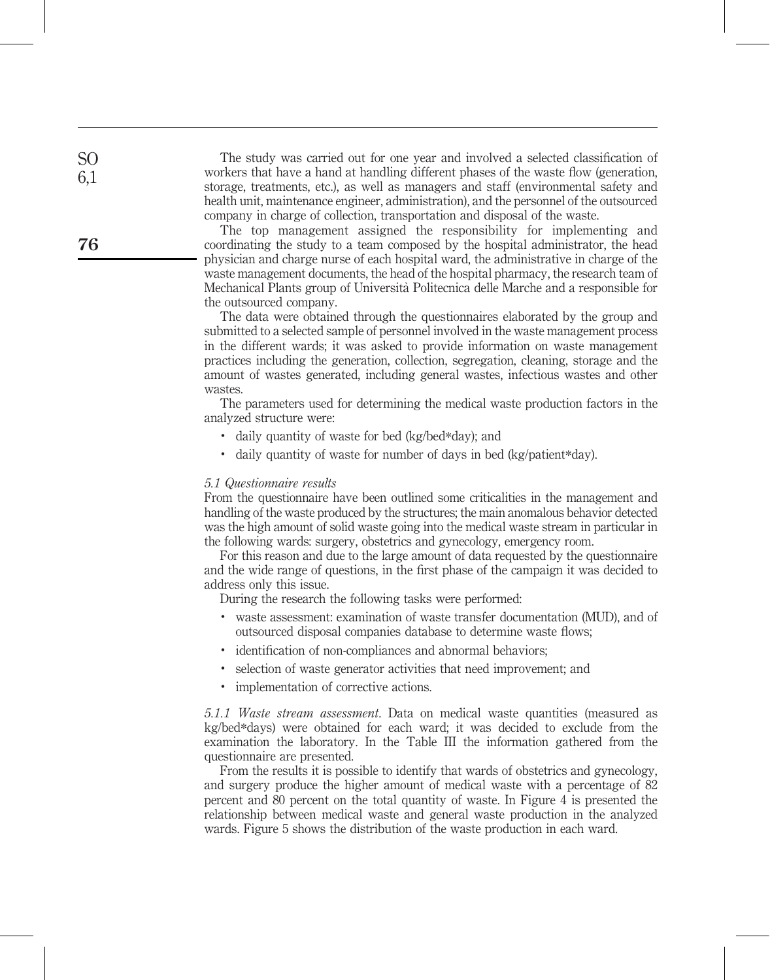The study was carried out for one year and involved a selected classification of workers that have a hand at handling different phases of the waste flow (generation, storage, treatments, etc.), as well as managers and staff (environmental safety and health unit, maintenance engineer, administration), and the personnel of the outsourced company in charge of collection, transportation and disposal of the waste.

The top management assigned the responsibility for implementing and coordinating the study to a team composed by the hospital administrator, the head physician and charge nurse of each hospital ward, the administrative in charge of the waste management documents, the head of the hospital pharmacy, the research team of Mechanical Plants group of Universita` Politecnica delle Marche and a responsible for the outsourced company.

The data were obtained through the questionnaires elaborated by the group and submitted to a selected sample of personnel involved in the waste management process in the different wards; it was asked to provide information on waste management practices including the generation, collection, segregation, cleaning, storage and the amount of wastes generated, including general wastes, infectious wastes and other wastes.

The parameters used for determining the medical waste production factors in the analyzed structure were:

- . daily quantity of waste for bed (kg/bed\*day); and
- . daily quantity of waste for number of days in bed (kg/patient\*day).

#### 5.1 Questionnaire results

From the questionnaire have been outlined some criticalities in the management and handling of the waste produced by the structures; the main anomalous behavior detected was the high amount of solid waste going into the medical waste stream in particular in the following wards: surgery, obstetrics and gynecology, emergency room.

For this reason and due to the large amount of data requested by the questionnaire and the wide range of questions, in the first phase of the campaign it was decided to address only this issue.

During the research the following tasks were performed:

- . waste assessment: examination of waste transfer documentation (MUD), and of outsourced disposal companies database to determine waste flows;
- . identification of non-compliances and abnormal behaviors;
- . selection of waste generator activities that need improvement; and
- . implementation of corrective actions.

5.1.1 Waste stream assessment. Data on medical waste quantities (measured as kg/bed\*days) were obtained for each ward; it was decided to exclude from the examination the laboratory. In the Table III the information gathered from the questionnaire are presented.

From the results it is possible to identify that wards of obstetrics and gynecology, and surgery produce the higher amount of medical waste with a percentage of 82 percent and 80 percent on the total quantity of waste. In Figure 4 is presented the relationship between medical waste and general waste production in the analyzed wards. Figure 5 shows the distribution of the waste production in each ward.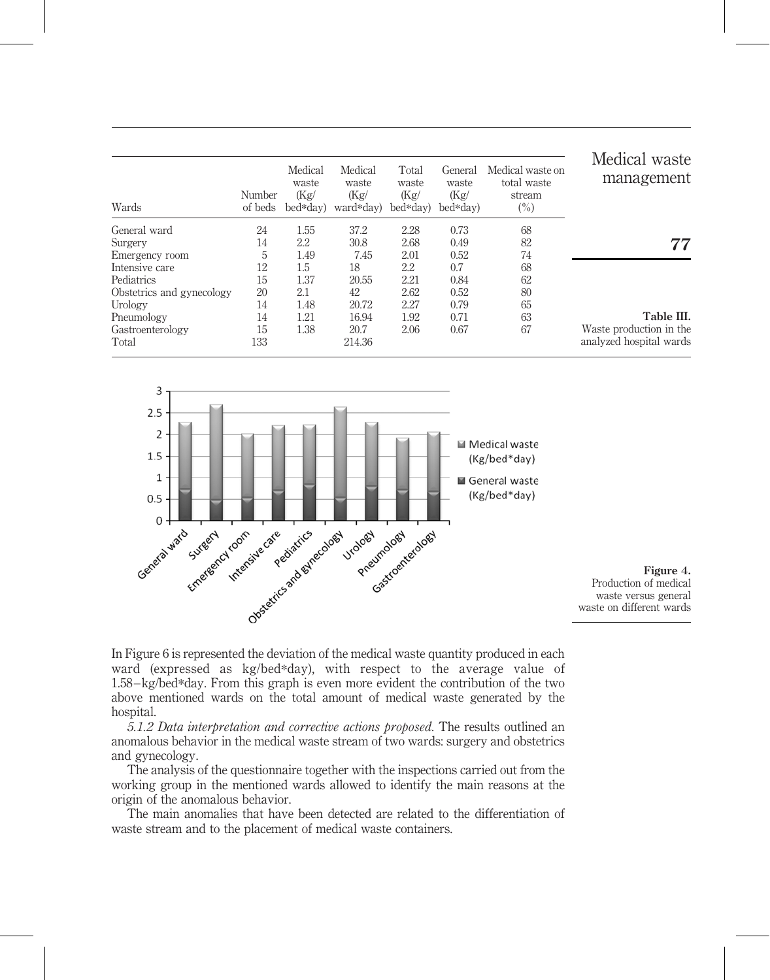| Wards                     | Number<br>of beds | Medical<br>waste<br>(Kg)<br>bed*day) | Medical<br>waste<br>(Kg)<br>ward*day) | Total<br>waste<br>(Kg)<br>bed*day) | General<br>waste<br>(Kg)<br>bed*day) | Medical waste on<br>total waste<br>stream<br>$(\%)$ | Medical waste<br>management |
|---------------------------|-------------------|--------------------------------------|---------------------------------------|------------------------------------|--------------------------------------|-----------------------------------------------------|-----------------------------|
| General ward              | 24                | 1.55                                 | 37.2                                  | 2.28                               | 0.73                                 | 68                                                  |                             |
| Surgery                   | 14                | 2.2                                  | 30.8                                  | 2.68                               | 0.49                                 | 82                                                  | 77                          |
| Emergency room            | 5                 | 1.49                                 | 7.45                                  | 2.01                               | 0.52                                 | 74                                                  |                             |
| Intensive care            | 12                | $1.5\,$                              | 18                                    | 2.2                                | 0.7                                  | 68                                                  |                             |
| Pediatrics                | 15                | 1.37                                 | 20.55                                 | 2.21                               | 0.84                                 | 62                                                  |                             |
| Obstetrics and gynecology | 20                | 2.1                                  | 42                                    | 2.62                               | 0.52                                 | 80                                                  |                             |
| Urology                   | 14                | 1.48                                 | 20.72                                 | 2.27                               | 0.79                                 | 65                                                  |                             |
| Pneumology                | 14                | 1.21                                 | 16.94                                 | 1.92                               | 0.71                                 | 63                                                  | Table III.                  |
| Gastroenterology          | 15                | 1.38                                 | 20.7                                  | 2.06                               | 0.67                                 | 67                                                  | Waste production in the     |
| Total                     | 133               |                                      | 214.36                                |                                    |                                      |                                                     | analyzed hospital wards     |



Figure 4. Production of medical waste versus general waste on different wards

In Figure 6 is represented the deviation of the medical waste quantity produced in each ward (expressed as kg/bed\*day), with respect to the average value of 1.58 –kg/bed\*day. From this graph is even more evident the contribution of the two above mentioned wards on the total amount of medical waste generated by the hospital.

5.1.2 Data interpretation and corrective actions proposed. The results outlined an anomalous behavior in the medical waste stream of two wards: surgery and obstetrics and gynecology.

The analysis of the questionnaire together with the inspections carried out from the working group in the mentioned wards allowed to identify the main reasons at the origin of the anomalous behavior.

The main anomalies that have been detected are related to the differentiation of waste stream and to the placement of medical waste containers.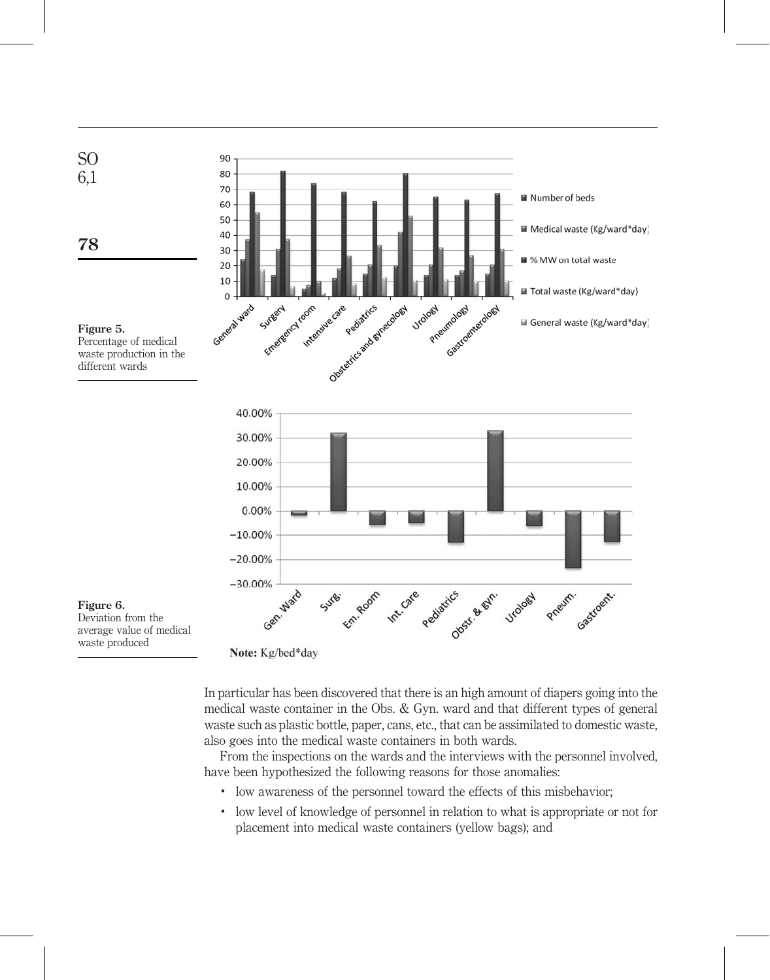

waste produced

Note: Kg/bed\*day

In particular has been discovered that there is an high amount of diapers going into the medical waste container in the Obs. & Gyn. ward and that different types of general waste such as plastic bottle, paper, cans, etc., that can be assimilated to domestic waste, also goes into the medical waste containers in both wards.

From the inspections on the wards and the interviews with the personnel involved, have been hypothesized the following reasons for those anomalies:

- . low awareness of the personnel toward the effects of this misbehavior;
- . low level of knowledge of personnel in relation to what is appropriate or not for placement into medical waste containers (yellow bags); and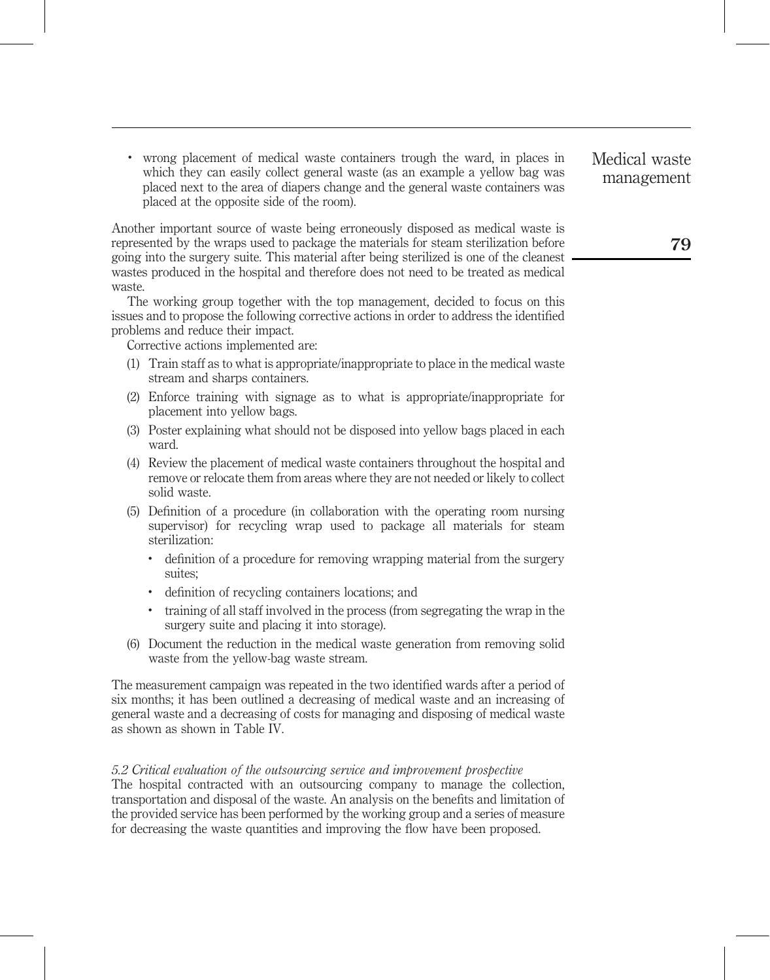. wrong placement of medical waste containers trough the ward, in places in which they can easily collect general waste (as an example a yellow bag was placed next to the area of diapers change and the general waste containers was placed at the opposite side of the room).

Another important source of waste being erroneously disposed as medical waste is represented by the wraps used to package the materials for steam sterilization before going into the surgery suite. This material after being sterilized is one of the cleanest wastes produced in the hospital and therefore does not need to be treated as medical waste.

The working group together with the top management, decided to focus on this issues and to propose the following corrective actions in order to address the identified problems and reduce their impact.

Corrective actions implemented are:

- (1) Train staff as to what is appropriate/inappropriate to place in the medical waste stream and sharps containers.
- (2) Enforce training with signage as to what is appropriate/inappropriate for placement into yellow bags.
- (3) Poster explaining what should not be disposed into yellow bags placed in each ward.
- (4) Review the placement of medical waste containers throughout the hospital and remove or relocate them from areas where they are not needed or likely to collect solid waste.
- (5) Definition of a procedure (in collaboration with the operating room nursing supervisor) for recycling wrap used to package all materials for steam sterilization:
	- . definition of a procedure for removing wrapping material from the surgery suites;
	- . definition of recycling containers locations; and
	- . training of all staff involved in the process (from segregating the wrap in the surgery suite and placing it into storage).
- (6) Document the reduction in the medical waste generation from removing solid waste from the yellow-bag waste stream.

The measurement campaign was repeated in the two identified wards after a period of six months; it has been outlined a decreasing of medical waste and an increasing of general waste and a decreasing of costs for managing and disposing of medical waste as shown as shown in Table IV.

### 5.2 Critical evaluation of the outsourcing service and improvement prospective

The hospital contracted with an outsourcing company to manage the collection, transportation and disposal of the waste. An analysis on the benefits and limitation of the provided service has been performed by the working group and a series of measure for decreasing the waste quantities and improving the flow have been proposed.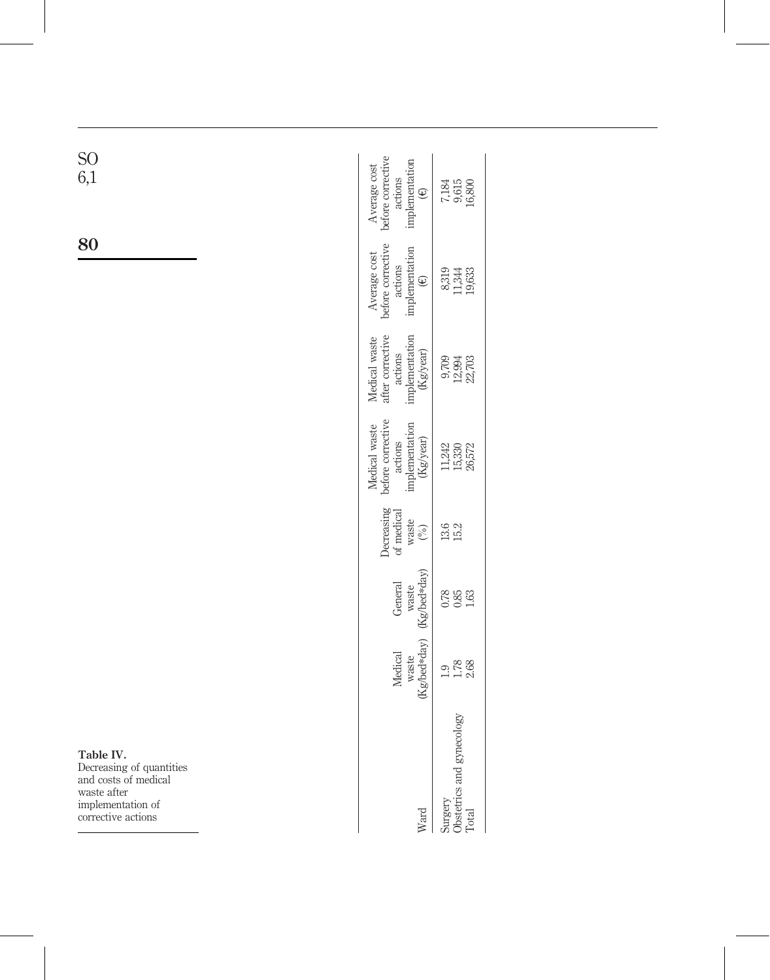| Ward                                          | Kg/bed*day)<br>Medical<br>waste | General<br>waste<br>(Kg/bed*day) | $\begin{array}{c}\n\text{heterasing} \\ \text{d} \\ \text{d} \\ \text{waste} \\ \text{(%)}\n\end{array}$ | Medical waste<br>before corrective<br>actions<br>implementation<br>(Kg/year) | $\begin{array}{l} \textbf{Medical waste}\\ \textbf{after corrective}\\ \textbf{actions}\\ \textbf{inplementation}\\ (\textbf{Kg/year}) \end{array}$ | Average cost<br>before corrective<br>actions<br>implementation<br>implementation | Average cost<br>oefore corrective<br>actions<br>implementation |
|-----------------------------------------------|---------------------------------|----------------------------------|----------------------------------------------------------------------------------------------------------|------------------------------------------------------------------------------|-----------------------------------------------------------------------------------------------------------------------------------------------------|----------------------------------------------------------------------------------|----------------------------------------------------------------|
| Surgery<br>Obstetrics and gynecology<br>Total | 1.78                            | 0.78<br>1.63                     | 9. 9. 9.<br>15. 21                                                                                       | 11,242<br>15,330<br>26,572                                                   | 9709<br>12,994<br>22,703                                                                                                                            | 8319<br>11,344<br>19,633                                                         | 7,184<br>9,615<br>6,800                                        |

Table IV.

Decreasing of quantities and costs of medical waste after implementation of corrective actions

80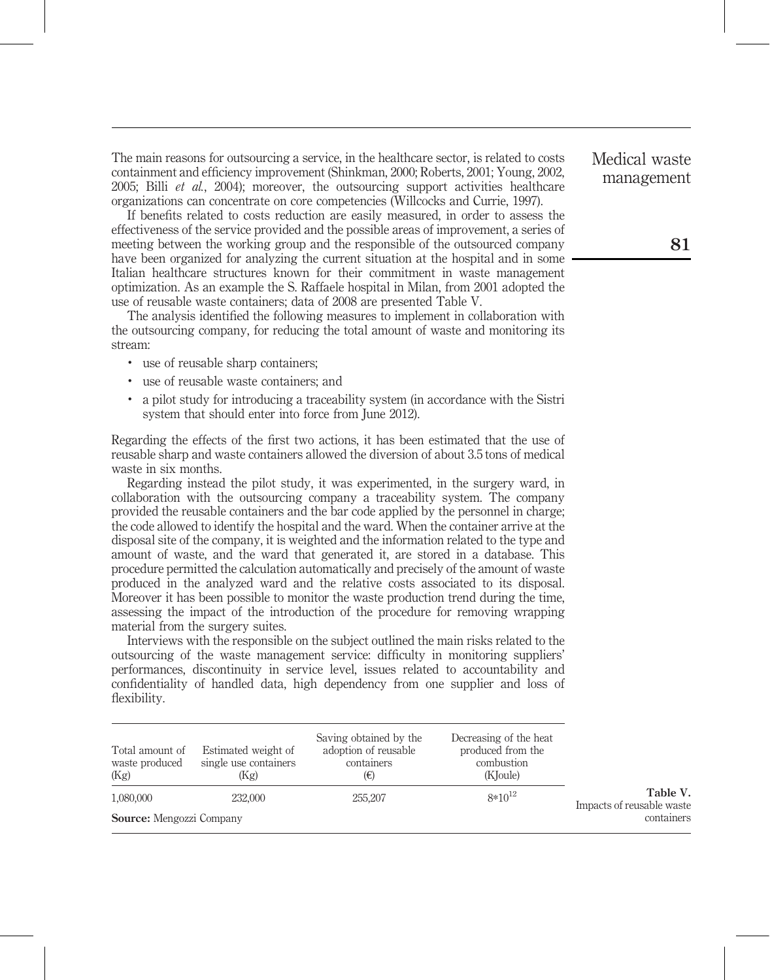The main reasons for outsourcing a service, in the healthcare sector, is related to costs containment and efficiency improvement (Shinkman, 2000; Roberts, 2001; Young, 2002, 2005; Billi *et al.*, 2004); moreover, the outsourcing support activities healthcare organizations can concentrate on core competencies (Willcocks and Currie, 1997).

If benefits related to costs reduction are easily measured, in order to assess the effectiveness of the service provided and the possible areas of improvement, a series of meeting between the working group and the responsible of the outsourced company have been organized for analyzing the current situation at the hospital and in some Italian healthcare structures known for their commitment in waste management optimization. As an example the S. Raffaele hospital in Milan, from 2001 adopted the use of reusable waste containers; data of 2008 are presented Table V.

The analysis identified the following measures to implement in collaboration with the outsourcing company, for reducing the total amount of waste and monitoring its stream:

- . use of reusable sharp containers;
- . use of reusable waste containers; and
- . a pilot study for introducing a traceability system (in accordance with the Sistri system that should enter into force from June 2012).

Regarding the effects of the first two actions, it has been estimated that the use of reusable sharp and waste containers allowed the diversion of about 3.5 tons of medical waste in six months.

Regarding instead the pilot study, it was experimented, in the surgery ward, in collaboration with the outsourcing company a traceability system. The company provided the reusable containers and the bar code applied by the personnel in charge; the code allowed to identify the hospital and the ward. When the container arrive at the disposal site of the company, it is weighted and the information related to the type and amount of waste, and the ward that generated it, are stored in a database. This procedure permitted the calculation automatically and precisely of the amount of waste produced in the analyzed ward and the relative costs associated to its disposal. Moreover it has been possible to monitor the waste production trend during the time, assessing the impact of the introduction of the procedure for removing wrapping material from the surgery suites.

Interviews with the responsible on the subject outlined the main risks related to the outsourcing of the waste management service: difficulty in monitoring suppliers' performances, discontinuity in service level, issues related to accountability and confidentiality of handled data, high dependency from one supplier and loss of flexibility.

| Total amount of<br>waste produced<br>(Kg) | Estimated weight of<br>single use containers<br>(Kg) | Saving obtained by the<br>adoption of reusable<br>containers<br>(€) | Decreasing of the heat<br>produced from the<br>combustion<br>(KJoule) |                                       |
|-------------------------------------------|------------------------------------------------------|---------------------------------------------------------------------|-----------------------------------------------------------------------|---------------------------------------|
| 1,080,000<br>232,000                      |                                                      | 255,207                                                             | $8*10^{12}$                                                           | Table V.<br>Impacts of reusable waste |
| <b>Source:</b> Mengozzi Company           |                                                      |                                                                     |                                                                       | containers                            |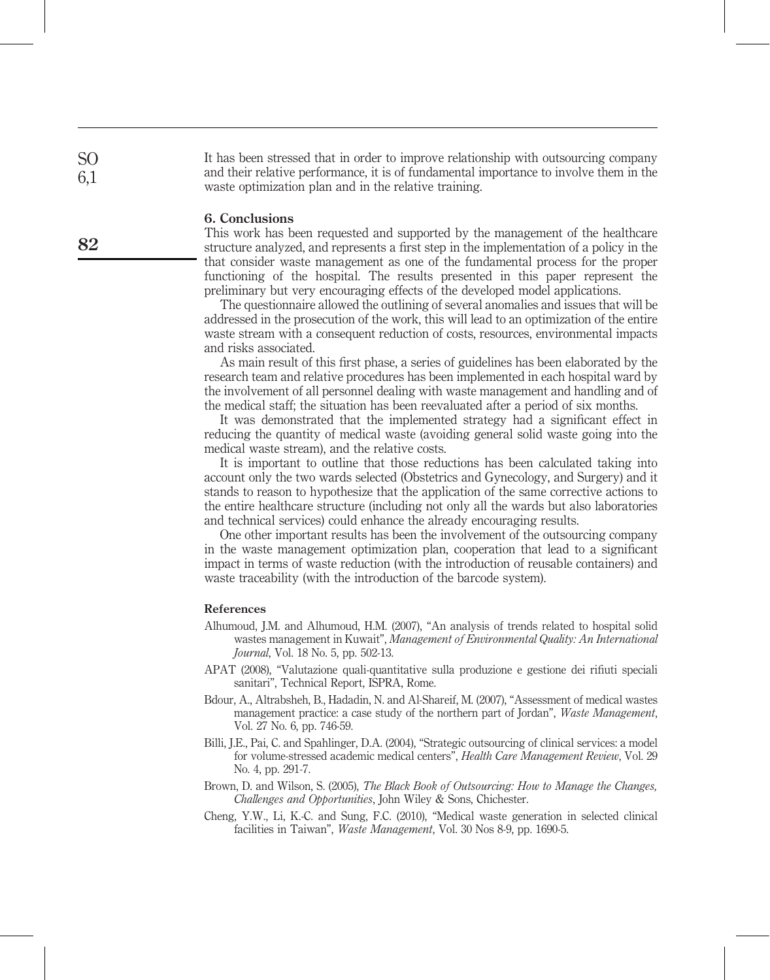It has been stressed that in order to improve relationship with outsourcing company and their relative performance, it is of fundamental importance to involve them in the waste optimization plan and in the relative training.

#### 6. Conclusions

This work has been requested and supported by the management of the healthcare structure analyzed, and represents a first step in the implementation of a policy in the that consider waste management as one of the fundamental process for the proper functioning of the hospital. The results presented in this paper represent the preliminary but very encouraging effects of the developed model applications.

The questionnaire allowed the outlining of several anomalies and issues that will be addressed in the prosecution of the work, this will lead to an optimization of the entire waste stream with a consequent reduction of costs, resources, environmental impacts and risks associated.

As main result of this first phase, a series of guidelines has been elaborated by the research team and relative procedures has been implemented in each hospital ward by the involvement of all personnel dealing with waste management and handling and of the medical staff; the situation has been reevaluated after a period of six months.

It was demonstrated that the implemented strategy had a significant effect in reducing the quantity of medical waste (avoiding general solid waste going into the medical waste stream), and the relative costs.

It is important to outline that those reductions has been calculated taking into account only the two wards selected (Obstetrics and Gynecology, and Surgery) and it stands to reason to hypothesize that the application of the same corrective actions to the entire healthcare structure (including not only all the wards but also laboratories and technical services) could enhance the already encouraging results.

One other important results has been the involvement of the outsourcing company in the waste management optimization plan, cooperation that lead to a significant impact in terms of waste reduction (with the introduction of reusable containers) and waste traceability (with the introduction of the barcode system).

## References

- Alhumoud, J.M. and Alhumoud, H.M. (2007), "An analysis of trends related to hospital solid wastes management in Kuwait", Management of Environmental Quality: An International Journal, Vol. 18 No. 5, pp. 502-13.
- APAT (2008), "Valutazione quali-quantitative sulla produzione e gestione dei rifiuti speciali sanitari", Technical Report, ISPRA, Rome.
- Bdour, A., Altrabsheh, B., Hadadin, N. and Al-Shareif, M. (2007), "Assessment of medical wastes management practice: a case study of the northern part of Jordan", Waste Management, Vol. 27 No. 6, pp. 746-59.
- Billi, J.E., Pai, C. and Spahlinger, D.A. (2004), "Strategic outsourcing of clinical services: a model for volume-stressed academic medical centers", Health Care Management Review, Vol. 29 No. 4, pp. 291-7.
- Brown, D. and Wilson, S. (2005), The Black Book of Outsourcing: How to Manage the Changes, Challenges and Opportunities, John Wiley & Sons, Chichester.
- Cheng, Y.W., Li, K.-C. and Sung, F.C. (2010), "Medical waste generation in selected clinical facilities in Taiwan", *Waste Management*, Vol. 30 Nos 8-9, pp. 1690-5.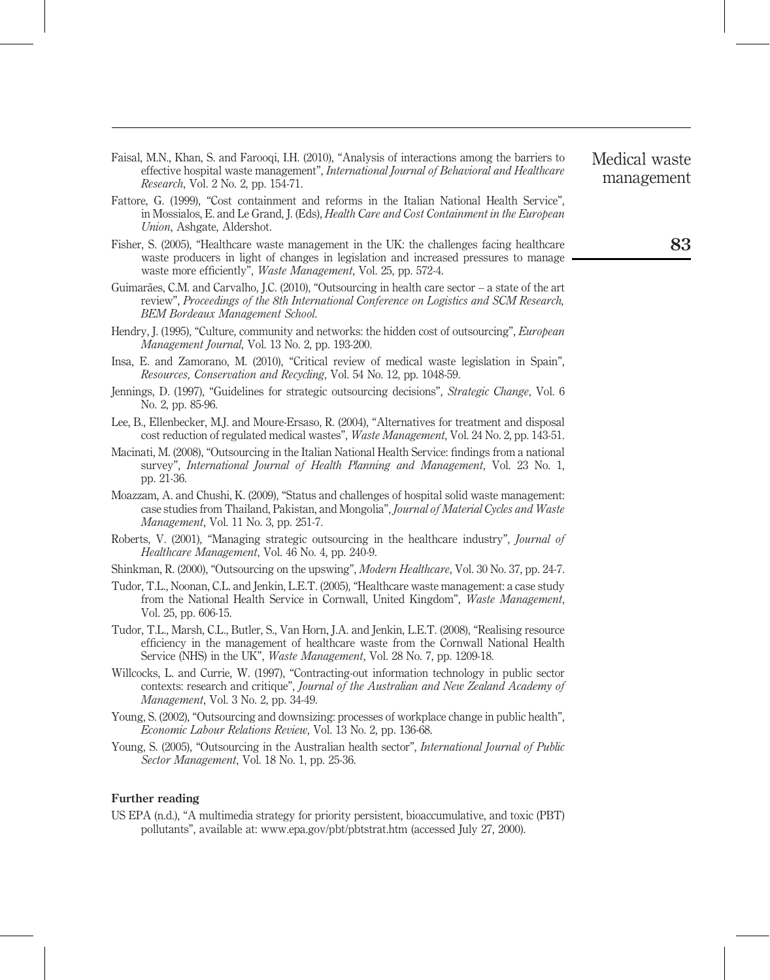- Faisal, M.N., Khan, S. and Farooqi, I.H. (2010), "Analysis of interactions among the barriers to effective hospital waste management", International Journal of Behavioral and Healthcare Research, Vol. 2 No. 2, pp. 154-71.
- Fattore, G. (1999), "Cost containment and reforms in the Italian National Health Service", in Mossialos, E. and Le Grand, J. (Eds), Health Care and Cost Containment in the European Union, Ashgate, Aldershot.
- Fisher, S. (2005), "Healthcare waste management in the UK: the challenges facing healthcare waste producers in light of changes in legislation and increased pressures to manage waste more efficiently", Waste Management, Vol. 25, pp. 572-4.
- Guimarães, C.M. and Carvalho, J.C. (2010), "Outsourcing in health care sector a state of the art review", Proceedings of the 8th International Conference on Logistics and SCM Research, BEM Bordeaux Management School.
- Hendry, J. (1995), "Culture, community and networks: the hidden cost of outsourcing", *European* Management Journal, Vol. 13 No. 2, pp. 193-200.
- Insa, E. and Zamorano, M. (2010), "Critical review of medical waste legislation in Spain", Resources, Conservation and Recycling, Vol. 54 No. 12, pp. 1048-59.
- Jennings, D. (1997), "Guidelines for strategic outsourcing decisions", Strategic Change, Vol. 6 No. 2, pp. 85-96.
- Lee, B., Ellenbecker, M.J. and Moure-Ersaso, R. (2004), "Alternatives for treatment and disposal cost reduction of regulated medical wastes", Waste Management, Vol. 24 No. 2, pp. 143-51.
- Macinati, M. (2008), "Outsourcing in the Italian National Health Service: findings from a national survey", International Journal of Health Planning and Management, Vol. 23 No. 1, pp. 21-36.
- Moazzam, A. and Chushi, K. (2009), "Status and challenges of hospital solid waste management: case studies from Thailand, Pakistan, and Mongolia", Journal of Material Cycles and Waste Management, Vol. 11 No. 3, pp. 251-7.
- Roberts, V. (2001), "Managing strategic outsourcing in the healthcare industry", Journal of Healthcare Management, Vol. 46 No. 4, pp. 240-9.
- Shinkman, R. (2000), "Outsourcing on the upswing", Modern Healthcare, Vol. 30 No. 37, pp. 24-7.
- Tudor, T.L., Noonan, C.L. and Jenkin, L.E.T. (2005), "Healthcare waste management: a case study from the National Health Service in Cornwall, United Kingdom", Waste Management, Vol. 25, pp. 606-15.
- Tudor, T.L., Marsh, C.L., Butler, S., Van Horn, J.A. and Jenkin, L.E.T. (2008), "Realising resource efficiency in the management of healthcare waste from the Cornwall National Health Service (NHS) in the UK", Waste Management, Vol. 28 No. 7, pp. 1209-18.
- Willcocks, L. and Currie, W. (1997), "Contracting-out information technology in public sector contexts: research and critique", Journal of the Australian and New Zealand Academy of Management, Vol. 3 No. 2, pp. 34-49.
- Young, S. (2002), "Outsourcing and downsizing: processes of workplace change in public health", Economic Labour Relations Review, Vol. 13 No. 2, pp. 136-68.
- Young, S. (2005), "Outsourcing in the Australian health sector", International Journal of Public Sector Management, Vol. 18 No. 1, pp. 25-36.

#### Further reading

US EPA (n.d.), "A multimedia strategy for priority persistent, bioaccumulative, and toxic (PBT) pollutants", available at: www.epa.gov/pbt/pbtstrat.htm (accessed July 27, 2000).